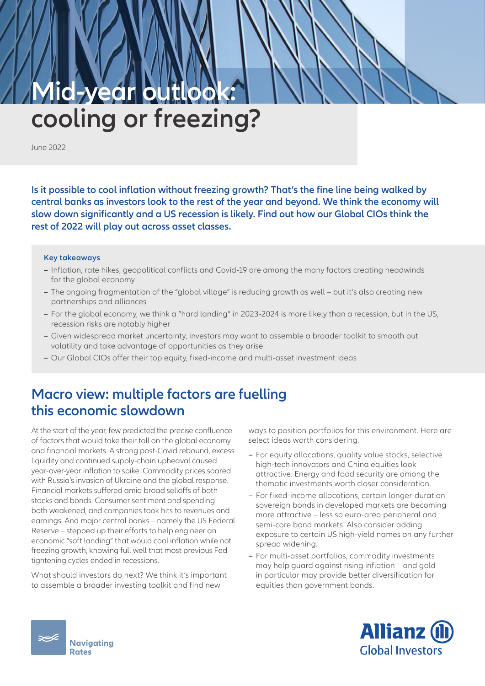# **Mid-year outlook: cooling or freezing?**

June 2022

**Is it possible to cool inflation without freezing growth? That's the fine line being walked by central banks as investors look to the rest of the year and beyond. We think the economy will slow down significantly and a US recession is likely. Find out how our Global CIOs think the rest of 2022 will play out across asset classes.** 

#### **Key takeaways**

- **–** Inflation, rate hikes, geopolitical conflicts and Covid-19 are among the many factors creating headwinds for the global economy
- **–** The ongoing fragmentation of the "global village" is reducing growth as well but it's also creating new partnerships and alliances
- **–** For the global economy, we think a "hard landing" in 2023-2024 is more likely than a recession, but in the US, recession risks are notably higher
- **–** Given widespread market uncertainty, investors may want to assemble a broader toolkit to smooth out volatility and take advantage of opportunities as they arise
- **–** Our Global CIOs offer their top equity, fixed-income and multi-asset investment ideas

## **Macro view: multiple factors are fuelling this economic slowdown**

At the start of the year, few predicted the precise confluence of factors that would take their toll on the global economy and financial markets. A strong post-Covid rebound, excess liquidity and continued supply-chain upheaval caused year-over-year inflation to spike. Commodity prices soared with Russia's invasion of Ukraine and the global response. Financial markets suffered amid broad selloffs of both stocks and bonds. Consumer sentiment and spending both weakened, and companies took hits to revenues and earnings. And major central banks – namely the US Federal Reserve – stepped up their efforts to help engineer an economic "soft landing" that would cool inflation while not freezing growth, knowing full well that most previous Fed tightening cycles ended in recessions.

What should investors do next? We think it's important to assemble a broader investing toolkit and find new

ways to position portfolios for this environment. Here are select ideas worth considering.

- **–** For equity allocations, quality value stocks, selective high-tech innovators and China equities look attractive. Energy and food security are among the thematic investments worth closer consideration.
- **–** For fixed-income allocations, certain longer-duration sovereign bonds in developed markets are becoming more attractive – less so euro-area peripheral and semi-core bond markets. Also consider adding exposure to certain US high-yield names on any further spread widening.
- **–** For multi-asset portfolios, commodity investments may help guard against rising inflation – and gold in particular may provide better diversification for equities than government bonds.



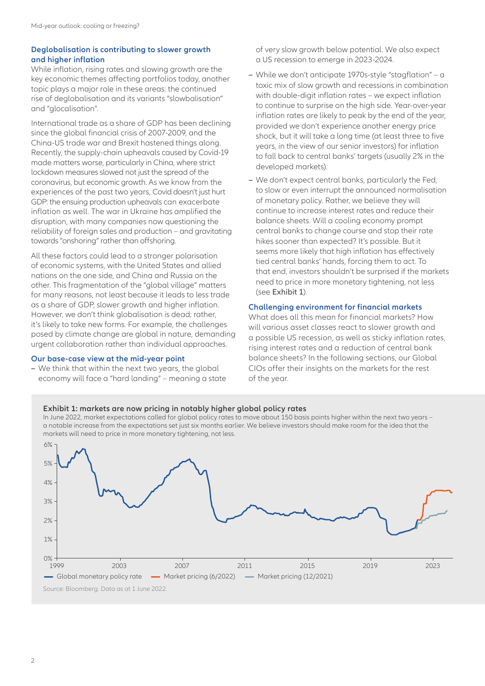## **Deglobalisation is contributing to slower growth and higher inflation**

While inflation, rising rates and slowing growth are the key economic themes affecting portfolios today, another topic plays a major role in these areas: the continued rise of deglobalisation and its variants "slowbalisation" and "glocalisation".

International trade as a share of GDP has been declining since the global financial crisis of 2007-2009, and the China-US trade war and Brexit hastened things along. Recently, the supply-chain upheavals caused by Covid-19 made matters worse, particularly in China, where strict lockdown measures slowed not just the spread of the coronavirus, but economic growth. As we know from the experiences of the past two years, Covid doesn't just hurt GDP: the ensuing production upheavals can exacerbate inflation as well. The war in Ukraine has amplified the disruption, with many companies now questioning the reliability of foreign sales and production – and gravitating towards "onshoring" rather than offshoring.

All these factors could lead to a stronger polarisation of economic systems, with the United States and allied nations on the one side, and China and Russia on the other. This fragmentation of the "global village" matters for many reasons, not least because it leads to less trade as a share of GDP, slower growth and higher inflation. However, we don't think globalisation is dead; rather, it's likely to take new forms. For example, the challenges posed by climate change are global in nature, demanding urgent collaboration rather than individual approaches.

### **Our base-case view at the mid-year point**

**–** We think that within the next two years, the global economy will face a "hard landing" – meaning a state of very slow growth below potential. We also expect a US recession to emerge in 2023-2024.

- **–** While we don't anticipate 1970s-style "stagflation" a toxic mix of slow growth and recessions in combination with double-digit inflation rates – we expect inflation to continue to surprise on the high side. Year-over-year inflation rates are likely to peak by the end of the year, provided we don't experience another energy price shock, but it will take a long time (at least three to five years, in the view of our senior investors) for inflation to fall back to central banks' targets (usually 2% in the developed markets).
- **–** We don't expect central banks, particularly the Fed, to slow or even interrupt the announced normalisation of monetary policy. Rather, we believe they will continue to increase interest rates and reduce their balance sheets. Will a cooling economy prompt central banks to change course and stop their rate hikes sooner than expected? It's possible. But it seems more likely that high inflation has effectively tied central banks' hands, forcing them to act. To that end, investors shouldn't be surprised if the markets need to price in more monetary tightening, not less (see Exhibit 1).

## **Challenging environment for financial markets**

What does all this mean for financial markets? How will various asset classes react to slower growth and a possible US recession, as well as sticky inflation rates, rising interest rates and a reduction of central bank balance sheets? In the following sections, our Global CIOs offer their insights on the markets for the rest of the year.

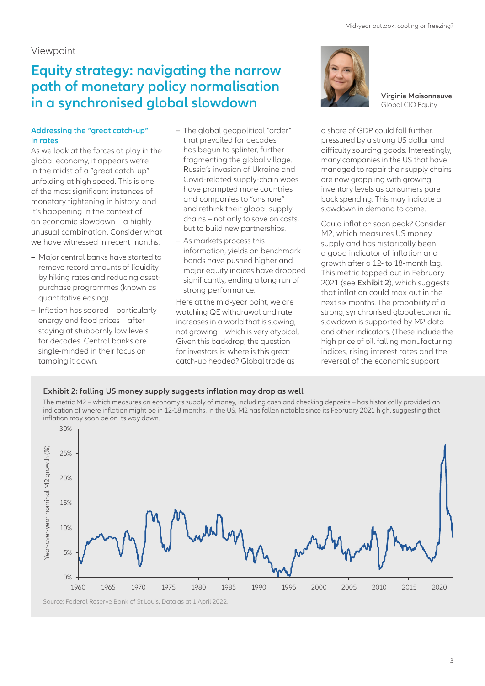## Viewpoint

## **Equity strategy: navigating the narrow path of monetary policy normalisation in a synchronised global slowdown**

### **Addressing the "great catch-up" in rates**

As we look at the forces at play in the global economy, it appears we're in the midst of a "great catch-up" unfolding at high speed. This is one of the most significant instances of monetary tightening in history, and it's happening in the context of an economic slowdown – a highly unusual combination. Consider what we have witnessed in recent months:

- **–** Major central banks have started to remove record amounts of liquidity by hiking rates and reducing assetpurchase programmes (known as quantitative easing).
- **–** Inflation has soared particularly energy and food prices – after staying at stubbornly low levels for decades. Central banks are single-minded in their focus on tamping it down.
- **–** The global geopolitical "order" that prevailed for decades has begun to splinter, further fragmenting the global village. Russia's invasion of Ukraine and Covid-related supply-chain woes have prompted more countries and companies to "onshore" and rethink their global supply chains – not only to save on costs, but to build new partnerships.
- **–** As markets process this information, yields on benchmark bonds have pushed higher and major equity indices have dropped significantly, ending a long run of strong performance.

Here at the mid-year point, we are watching QE withdrawal and rate increases in a world that is slowing, not growing – which is very atypical. Given this backdrop, the question for investors is: where is this great catch-up headed? Global trade as



**Virginie Maisonneuve** Global CIO Equity

a share of GDP could fall further, pressured by a strong US dollar and difficulty sourcing goods. Interestingly, many companies in the US that have managed to repair their supply chains are now grappling with growing inventory levels as consumers pare back spending. This may indicate a slowdown in demand to come.

Could inflation soon peak? Consider M2, which measures US money supply and has historically been a good indicator of inflation and growth after a 12- to 18-month lag. This metric topped out in February 2021 (see Exhibit 2), which suggests that inflation could max out in the next six months. The probability of a strong, synchronised global economic slowdown is supported by M2 data and other indicators. (These include the high price of oil, falling manufacturing indices, rising interest rates and the reversal of the economic support

#### **Exhibit 2: falling US money supply suggests inflation may drop as well**

The metric M2 – which measures an economy's supply of money, including cash and checking deposits – has historically provided an indication of where inflation might be in 12-18 months. In the US, M2 has fallen notable since its February 2021 high, suggesting that inflation may soon be on its way down.

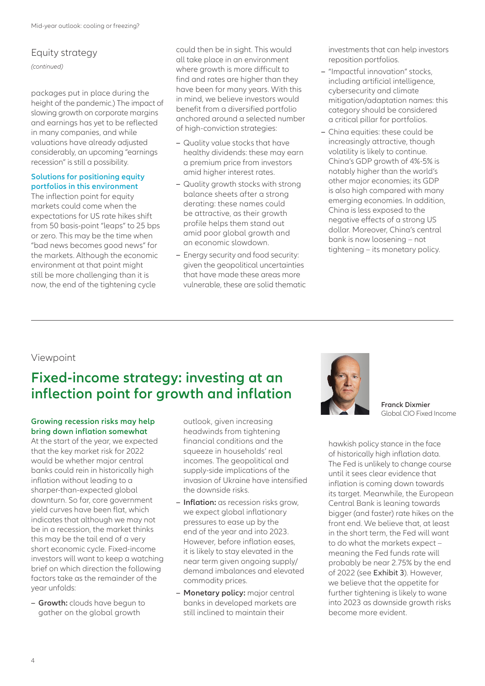## Equity strategy

*(continued)*

packages put in place during the height of the pandemic.) The impact of slowing growth on corporate margins and earnings has yet to be reflected in many companies, and while valuations have already adjusted considerably, an upcoming "earnings recession" is still a possibility.

## **Solutions for positioning equity portfolios in this environment**

The inflection point for equity markets could come when the expectations for US rate hikes shift from 50 basis-point "leaps" to 25 bps or zero. This may be the time when "bad news becomes good news" for the markets. Although the economic environment at that point might still be more challenging than it is now, the end of the tightening cycle

could then be in sight. This would all take place in an environment where growth is more difficult to find and rates are higher than they have been for many years. With this in mind, we believe investors would benefit from a diversified portfolio anchored around a selected number of high-conviction strategies:

- **–** Quality value stocks that have healthy dividends: these may earn a premium price from investors amid higher interest rates.
- **–** Quality growth stocks with strong balance sheets after a strong derating: these names could be attractive, as their growth profile helps them stand out amid poor global growth and an economic slowdown.
- **–** Energy security and food security: given the geopolitical uncertainties that have made these areas more vulnerable, these are solid thematic

investments that can help investors reposition portfolios.

- **–** "Impactful innovation" stocks, including artificial intelligence, cybersecurity and climate mitigation/adaptation names: this category should be considered a critical pillar for portfolios.
- **–** China equities: these could be increasingly attractive, though volatility is likely to continue. China's GDP growth of 4%-5% is notably higher than the world's other major economies; its GDP is also high compared with many emerging economies. In addition, China is less exposed to the negative effects of a strong US dollar. Moreover, China's central bank is now loosening – not tightening – its monetary policy.

## Viewpoint

## **Fixed-income strategy: investing at an inflection point for growth and inflation**

### **Growing recession risks may help bring down inflation somewhat**

At the start of the year, we expected that the key market risk for 2022 would be whether major central banks could rein in historically high inflation without leading to a sharper-than-expected global downturn. So far, core government yield curves have been flat, which indicates that although we may not be in a recession, the market thinks this may be the tail end of a very short economic cycle. Fixed-income investors will want to keep a watching brief on which direction the following factors take as the remainder of the year unfolds:

**– Growth:** clouds have begun to gather on the global growth

outlook, given increasing headwinds from tightening financial conditions and the squeeze in households' real incomes. The geopolitical and supply-side implications of the invasion of Ukraine have intensified the downside risks.

- **– Inflation:** as recession risks grow, we expect global inflationary pressures to ease up by the end of the year and into 2023. However, before inflation eases, it is likely to stay elevated in the near term given ongoing supply/ demand imbalances and elevated commodity prices.
- **– Monetary policy:** major central banks in developed markets are still inclined to maintain their



**Franck Dixmier** Global CIO Fixed Income

hawkish policy stance in the face of historically high inflation data. The Fed is unlikely to change course until it sees clear evidence that inflation is coming down towards its target. Meanwhile, the European Central Bank is leaning towards bigger (and faster) rate hikes on the front end. We believe that, at least in the short term, the Fed will want to do what the markets expect – meaning the Fed funds rate will probably be near 2.75% by the end of 2022 (see Exhibit 3). However, we believe that the appetite for further tightening is likely to wane into 2023 as downside growth risks become more evident.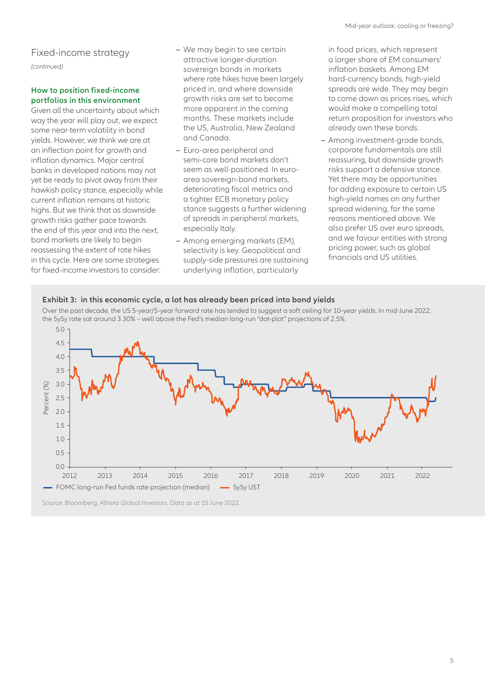## Fixed-income strategy

*(continued)*

## **How to position fixed-income portfolios in this environment**

Given all the uncertainty about which way the year will play out, we expect some near-term volatility in bond yields. However, we think we are at an inflection point for growth and inflation dynamics. Major central banks in developed nations may not yet be ready to pivot away from their hawkish policy stance, especially while current inflation remains at historic highs. But we think that as downside growth risks gather pace towards the end of this year and into the next, bond markets are likely to begin reassessing the extent of rate hikes in this cycle. Here are some strategies for fixed-income investors to consider:

- **–** We may begin to see certain attractive longer-duration sovereign bonds in markets where rate hikes have been largely priced in, and where downside growth risks are set to become more apparent in the coming months. These markets include the US, Australia, New Zealand and Canada.
- **–** Euro-area peripheral and semi-core bond markets don't seem as well-positioned. In euroarea sovereign-bond markets, deteriorating fiscal metrics and a tighter ECB monetary policy stance suggests a further widening of spreads in peripheral markets, especially Italy.
- **–** Among emerging markets (EM), selectivity is key. Geopolitical and supply-side pressures are sustaining underlying inflation, particularly

in food prices, which represent a larger share of EM consumers' inflation baskets. Among EM hard-currency bonds, high-yield spreads are wide. They may begin to come down as prices rises, which would make a compelling total return proposition for investors who already own these bonds.

**–** Among investment-grade bonds, corporate fundamentals are still reassuring, but downside growth risks support a defensive stance. Yet there may be opportunities for adding exposure to certain US high-yield names on any further spread widening, for the same reasons mentioned above. We also prefer US over euro spreads, and we favour entities with strong pricing power, such as global financials and US utilities.



Source: Bloomberg, Allianz Global Investors. Data as at 15 June 2022.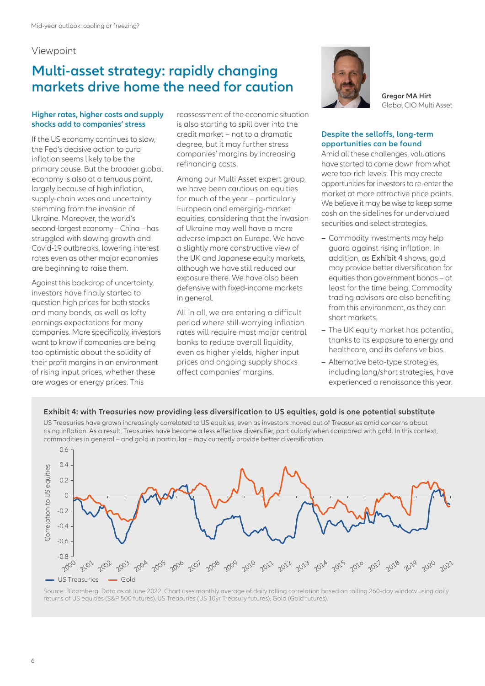## Viewpoint

## **Multi-asset strategy: rapidly changing markets drive home the need for caution**

## **Higher rates, higher costs and supply shocks add to companies' stress**

If the US economy continues to slow, the Fed's decisive action to curb inflation seems likely to be the primary cause. But the broader global economy is also at a tenuous point, largely because of high inflation, supply-chain woes and uncertainty stemming from the invasion of Ukraine. Moreover, the world's second-largest economy – China – has struggled with slowing growth and Covid-19 outbreaks, lowering interest rates even as other major economies are beginning to raise them.

Against this backdrop of uncertainty, investors have finally started to question high prices for both stocks and many bonds, as well as lofty earnings expectations for many companies. More specifically, investors want to know if companies are being too optimistic about the solidity of their profit margins in an environment of rising input prices, whether these are wages or energy prices. This

reassessment of the economic situation is also starting to spill over into the credit market – not to a dramatic degree, but it may further stress companies' margins by increasing refinancing costs.

Among our Multi Asset expert group, we have been cautious on equities for much of the year – particularly European and emerging-market equities, considering that the invasion of Ukraine may well have a more adverse impact on Europe. We have a slightly more constructive view of the UK and Japanese equity markets, although we have still reduced our exposure there. We have also been defensive with fixed-income markets in general.

All in all, we are entering a difficult period where still-worrying inflation rates will require most major central banks to reduce overall liquidity, even as higher yields, higher input prices and ongoing supply shocks affect companies' margins.



**Gregor MA Hirt** Global CIO Multi Asset

## **Despite the selloffs, long-term opportunities can be found**

Amid all these challenges, valuations have started to come down from what were too-rich levels. This may create opportunities for investors to re-enter the market at more attractive price points. We believe it may be wise to keep some cash on the sidelines for undervalued securities and select strategies.

- **–** Commodity investments may help guard against rising inflation. In addition, as Exhibit 4 shows, gold may provide better diversification for equities than government bonds – at least for the time being. Commodity trading advisors are also benefiting from this environment, as they can short markets.
- **–** The UK equity market has potential, thanks to its exposure to energy and healthcare, and its defensive bias.
- **–** Alternative beta-type strategies, including long/short strategies, have experienced a renaissance this year.

## **Exhibit 4: with Treasuries now providing less diversification to US equities, gold is one potential substitute**

US Treasuries have grown increasingly correlated to US equities, even as investors moved out of Treasuries amid concerns about rising inflation. As a result, Treasuries have become a less effective diversifier, particularly when compared with gold. In this context, commodities in general – and gold in particular – may currently provide better diversification.



Source: Bloomberg. Data as at June 2022. Chart uses monthly average of daily rolling correlation based on rolling 260-day window using daily returns of US equities (S&P 500 futures), US Treasuries (US 10yr Treasury futures), Gold (Gold futures).